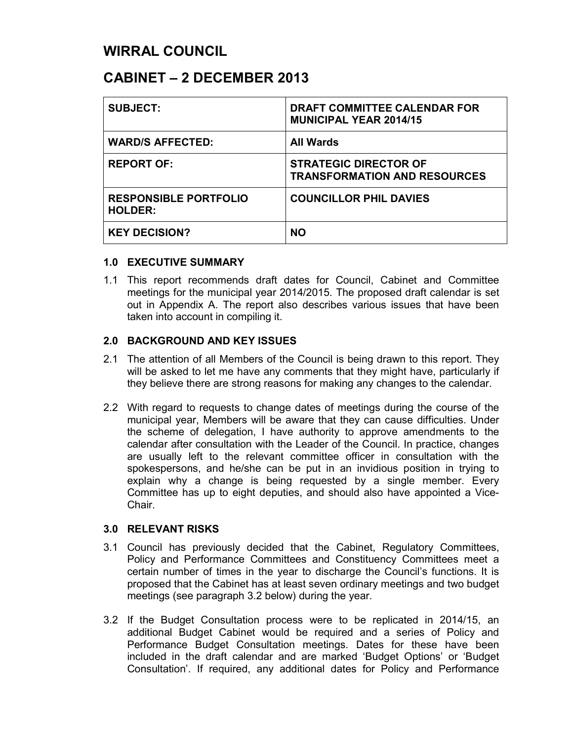# **WIRRAL COUNCIL**

## **CABINET – 2 DECEMBER 2013**

| <b>SUBJECT:</b>                         | DRAFT COMMITTEE CALENDAR FOR<br><b>MUNICIPAL YEAR 2014/15</b>       |
|-----------------------------------------|---------------------------------------------------------------------|
| <b>WARD/S AFFECTED:</b>                 | <b>All Wards</b>                                                    |
| <b>REPORT OF:</b>                       | <b>STRATEGIC DIRECTOR OF</b><br><b>TRANSFORMATION AND RESOURCES</b> |
| <b>RESPONSIBLE PORTFOLIO</b><br>HOLDER: | <b>COUNCILLOR PHIL DAVIES</b>                                       |
| <b>KEY DECISION?</b>                    | <b>NO</b>                                                           |

#### **1.0 EXECUTIVE SUMMARY**

1.1 This report recommends draft dates for Council, Cabinet and Committee meetings for the municipal year 2014/2015. The proposed draft calendar is set out in Appendix A. The report also describes various issues that have been taken into account in compiling it.

### **2.0 BACKGROUND AND KEY ISSUES**

- 2.1 The attention of all Members of the Council is being drawn to this report. They will be asked to let me have any comments that they might have, particularly if they believe there are strong reasons for making any changes to the calendar.
- 2.2 With regard to requests to change dates of meetings during the course of the municipal year, Members will be aware that they can cause difficulties. Under the scheme of delegation, I have authority to approve amendments to the calendar after consultation with the Leader of the Council. In practice, changes are usually left to the relevant committee officer in consultation with the spokespersons, and he/she can be put in an invidious position in trying to explain why a change is being requested by a single member. Every Committee has up to eight deputies, and should also have appointed a Vice-Chair.

#### **3.0 RELEVANT RISKS**

- 3.1 Council has previously decided that the Cabinet, Regulatory Committees, Policy and Performance Committees and Constituency Committees meet a certain number of times in the year to discharge the Council's functions. It is proposed that the Cabinet has at least seven ordinary meetings and two budget meetings (see paragraph 3.2 below) during the year.
- 3.2 If the Budget Consultation process were to be replicated in 2014/15, an additional Budget Cabinet would be required and a series of Policy and Performance Budget Consultation meetings. Dates for these have been included in the draft calendar and are marked 'Budget Options' or 'Budget Consultation'. If required, any additional dates for Policy and Performance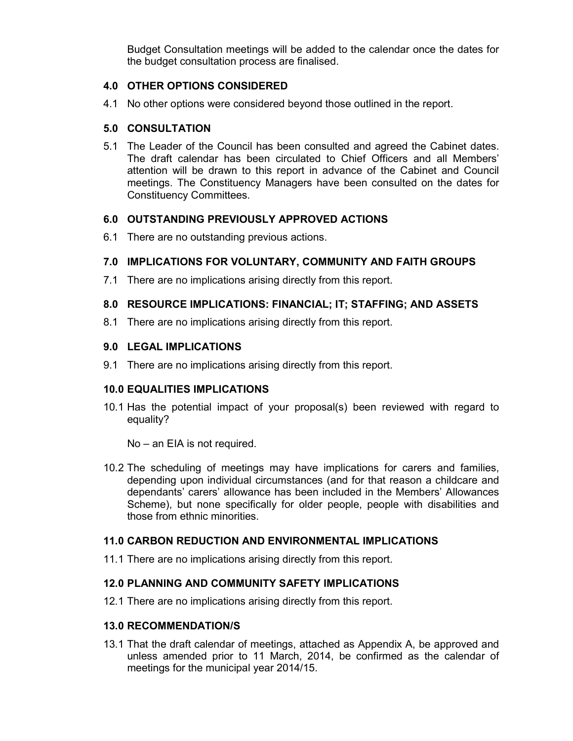Budget Consultation meetings will be added to the calendar once the dates for the budget consultation process are finalised.

## **4.0 OTHER OPTIONS CONSIDERED**

4.1 No other options were considered beyond those outlined in the report.

### **5.0 CONSULTATION**

5.1 The Leader of the Council has been consulted and agreed the Cabinet dates. The draft calendar has been circulated to Chief Officers and all Members' attention will be drawn to this report in advance of the Cabinet and Council meetings. The Constituency Managers have been consulted on the dates for Constituency Committees.

## **6.0 OUTSTANDING PREVIOUSLY APPROVED ACTIONS**

6.1 There are no outstanding previous actions.

### **7.0 IMPLICATIONS FOR VOLUNTARY, COMMUNITY AND FAITH GROUPS**

7.1 There are no implications arising directly from this report.

### **8.0 RESOURCE IMPLICATIONS: FINANCIAL; IT; STAFFING; AND ASSETS**

8.1 There are no implications arising directly from this report.

#### **9.0 LEGAL IMPLICATIONS**

9.1 There are no implications arising directly from this report.

#### **10.0 EQUALITIES IMPLICATIONS**

10.1 Has the potential impact of your proposal(s) been reviewed with regard to equality?

No – an EIA is not required.

10.2 The scheduling of meetings may have implications for carers and families, depending upon individual circumstances (and for that reason a childcare and dependants' carers' allowance has been included in the Members' Allowances Scheme), but none specifically for older people, people with disabilities and those from ethnic minorities.

## **11.0 CARBON REDUCTION AND ENVIRONMENTAL IMPLICATIONS**

11.1 There are no implications arising directly from this report.

### **12.0 PLANNING AND COMMUNITY SAFETY IMPLICATIONS**

12.1 There are no implications arising directly from this report.

#### **13.0 RECOMMENDATION/S**

13.1 That the draft calendar of meetings, attached as Appendix A, be approved and unless amended prior to 11 March, 2014, be confirmed as the calendar of meetings for the municipal year 2014/15.